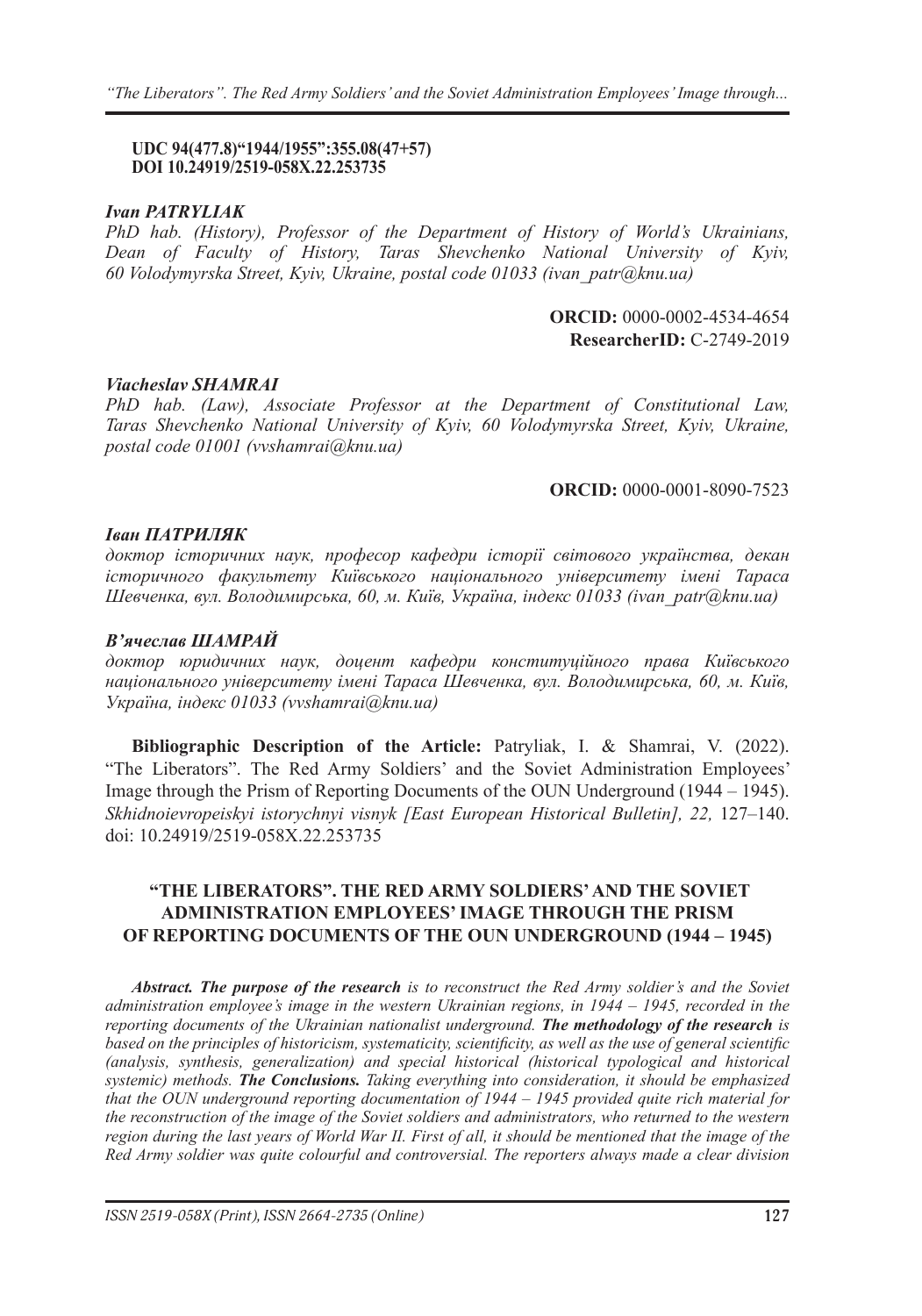#### **UDC 94(477.8)"1944/1955":355.08(47+57) DOI 10.24919/2519-058X.22.253735**

### *Ivan PATRYLIAK*

*PhD hab. (History), Professor of the Department of History of World's Ukrainians, Dean of Faculty of History, Taras Shevchenko National University of Kyiv, 60 Volodymyrska Street, Kyiv, Ukraine, postal code 01033 (ivan\_patr@knu.ua)*

> **ORCID:** 0000-0002-4534-4654 **ResearcherID:** C-2749-2019

## *Viacheslav SHAMRAI*

*PhD hab. (Law), Associate Professor at the Department of Constitutional Law, Taras Shevchenko National University of Kyiv, 60 Volodymyrska Street, Kyiv, Ukraine, postal code 01001 (vvshamrai@knu.ua)*

### **ORCID:** 0000-0001-8090-7523

### *Іван ПАТРИЛЯК*

*доктор історичних наук, професор кафедри історії світового українства, декан історичного факультету Київського національного університету імені Тараса Шевченка, вул. Володимирська, 60, м. Київ, Україна, індекс 01033 (ivan\_patr@knu.ua)*

#### *В'ячеслав ШАМРАЙ*

*доктор юридичних наук, доцент кафедри конституційного права Київського національного університету імені Тараса Шевченка, вул. Володимирська, 60, м. Київ, Україна, індекс 01033 (vvshamrai@knu.ua)*

**Bibliographic Description of the Article:** Patryliak, I. & Shamrai, V. (2022). "The Liberators". The Red Army Soldiers' and the Soviet Administration Employees' Image through the Prism of Reporting Documents of the OUN Underground (1944 – 1945). *Skhidnoievropeiskyi istorychnyi visnyk [East European Historical Bulletin], 22,* 127–140. doi: 10.24919/2519-058X.22.253735

# **"THE LIBERATORS". THE RED ARMY SOLDIERS' AND THE SOVIET ADMINISTRATION EMPLOYEES' IMAGE THROUGH THE PRISM OF REPORTING DOCUMENTS OF THE OUN UNDERGROUND (1944 – 1945)**

*Abstract. The purpose of the research is to reconstruct the Red Army soldier's and the Soviet administration employee's image in the western Ukrainian regions, in 1944 – 1945, recorded in the reporting documents of the Ukrainian nationalist underground. The methodology of the research is based on the principles of historicism, systematicity, scientificity, as well as the use of general scientific (analysis, synthesis, generalization) and special historical (historical typological and historical systemic) methods. The Conclusions. Taking everything into consideration, it should be emphasized that the OUN underground reporting documentation of 1944 – 1945 provided quite rich material for the reconstruction of the image of the Soviet soldiers and administrators, who returned to the western region during the last years of World War II. First of all, it should be mentioned that the image of the Red Army soldier was quite colourful and controversial. The reporters always made a clear division*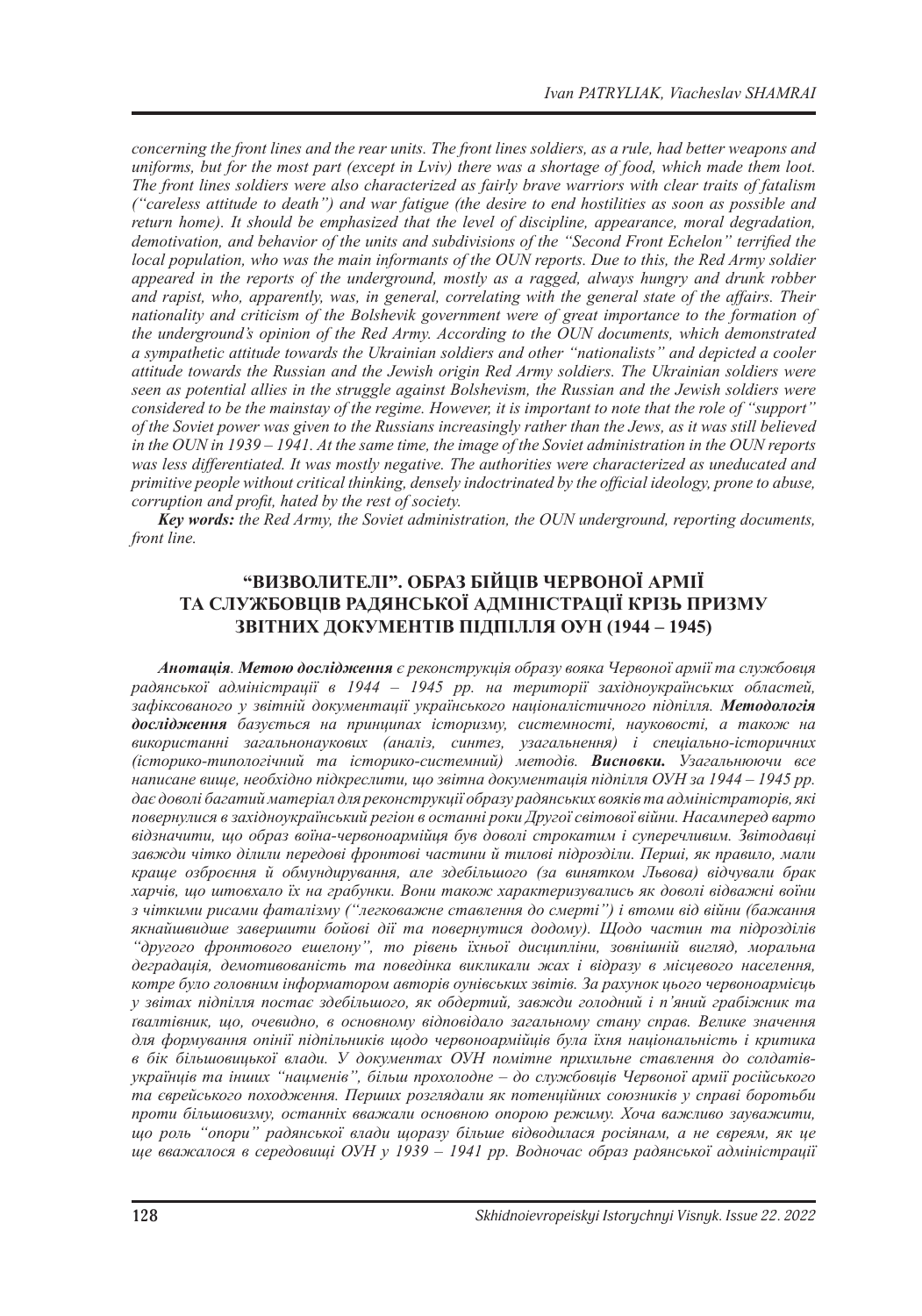*concerning the front lines and the rear units. The front lines soldiers, as a rule, had better weapons and uniforms, but for the most part (except in Lviv) there was a shortage of food, which made them loot. The front lines soldiers were also characterized as fairly brave warriors with clear traits of fatalism ("careless attitude to death") and war fatigue (the desire to end hostilities as soon as possible and return home). It should be emphasized that the level of discipline, appearance, moral degradation, demotivation, and behavior of the units and subdivisions of the "Second Front Echelon" terrified the local population, who was the main informants of the OUN reports. Due to this, the Red Army soldier appeared in the reports of the underground, mostly as a ragged, always hungry and drunk robber and rapist, who, apparently, was, in general, correlating with the general state of the affairs. Their nationality and criticism of the Bolshevik government were of great importance to the formation of the underground's opinion of the Red Army. According to the OUN documents, which demonstrated a sympathetic attitude towards the Ukrainian soldiers and other "nationalists" and depicted a cooler attitude towards the Russian and the Jewish origin Red Army soldiers. The Ukrainian soldiers were seen as potential allies in the struggle against Bolshevism, the Russian and the Jewish soldiers were considered to be the mainstay of the regime. However, it is important to note that the role of "support" of the Soviet power was given to the Russians increasingly rather than the Jews, as it was still believed in the OUN in 1939 – 1941. At the same time, the image of the Soviet administration in the OUN reports was less differentiated. It was mostly negative. The authorities were characterized as uneducated and primitive people without critical thinking, densely indoctrinated by the official ideology, prone to abuse, corruption and profit, hated by the rest of society.*

*Key words: the Red Army, the Soviet administration, the OUN underground, reporting documents, front line.*

# **"ВИЗВОЛИТЕЛІ". ОБРАЗ БІЙЦІВ ЧЕРВОНОЇ АРМІЇ ТА СЛУЖБОВЦІВ РАДЯНСЬКОЇ АДМІНІСТРАЦІЇ КРІЗЬ ПРИЗМУ ЗВІТНИХ ДОКУМЕНТІВ ПІДПІЛЛЯ ОУН (1944 – 1945)**

*Анотація. Метою дослідження є реконструкція образу вояка Червоної армії та службовця радянської адміністрації в 1944 – 1945 рр. на території західноукраїнських областей, зафіксованого у звітній документації українського націоналістичного підпілля. Методологія дослідження базується на принципах історизму, системності, науковості, а також на використанні загальнонаукових (аналіз, синтез, узагальнення) і спеціально-історичних (історико-типологічний та історико-системний) методів. Висновки. Узагальнюючи все написане вище, необхідно підкреслити, що звітна документація підпілля ОУН за 1944 – 1945 рр. дає доволі багатий матеріал для реконструкції образу радянських вояків та адміністраторів, які повернулися в західноукраїнський регіон в останні роки Другої світової війни. Насамперед варто відзначити, що образ воїна-червоноармійця був доволі строкатим і суперечливим. Звітодавці завжди чітко ділили передові фронтові частини й тилові підрозділи. Перші, як правило, мали краще озброєння й обмундирування, але здебільшого (за винятком Львова) відчували брак харчів, що штовхало їх на грабунки. Вони також характеризувались як доволі відважні воїни з чіткими рисами фаталізму ("легковажне ставлення до смерті") і втоми від війни (бажання якнайшвидше завершити бойові дії та повернутися додому). Щодо частин та підрозділів "другого фронтового ешелону", то рівень їхньої дисципліни, зовнішній вигляд, моральна деградація, демотивованість та поведінка викликали жах і відразу в місцевого населення, котре було головним інформатором авторів оунівських звітів. За рахунок цього червоноармієць у звітах підпілля постає здебільшого, як обдертий, завжди голодний і п'яний грабіжник та ґвалтівник, що, очевидно, в основному відповідало загальному стану справ. Велике значення для формування опінії підпільників щодо червоноармійців була їхня національність і критика в бік більшовицької влади. У документах ОУН помітне прихильне ставлення до солдатівукраїнців та інших "нацменів", більш прохолодне – до службовців Червоної армії російського та єврейського походження. Перших розглядали як потенційних союзників у справі боротьби проти більшовизму, останніх вважали основною опорою режиму. Хоча важливо зауважити, що роль "опори" радянської влади щоразу більше відводилася росіянам, а не євреям, як це ще вважалося в середовищі ОУН у 1939 – 1941 рр. Водночас образ радянської адміністрації*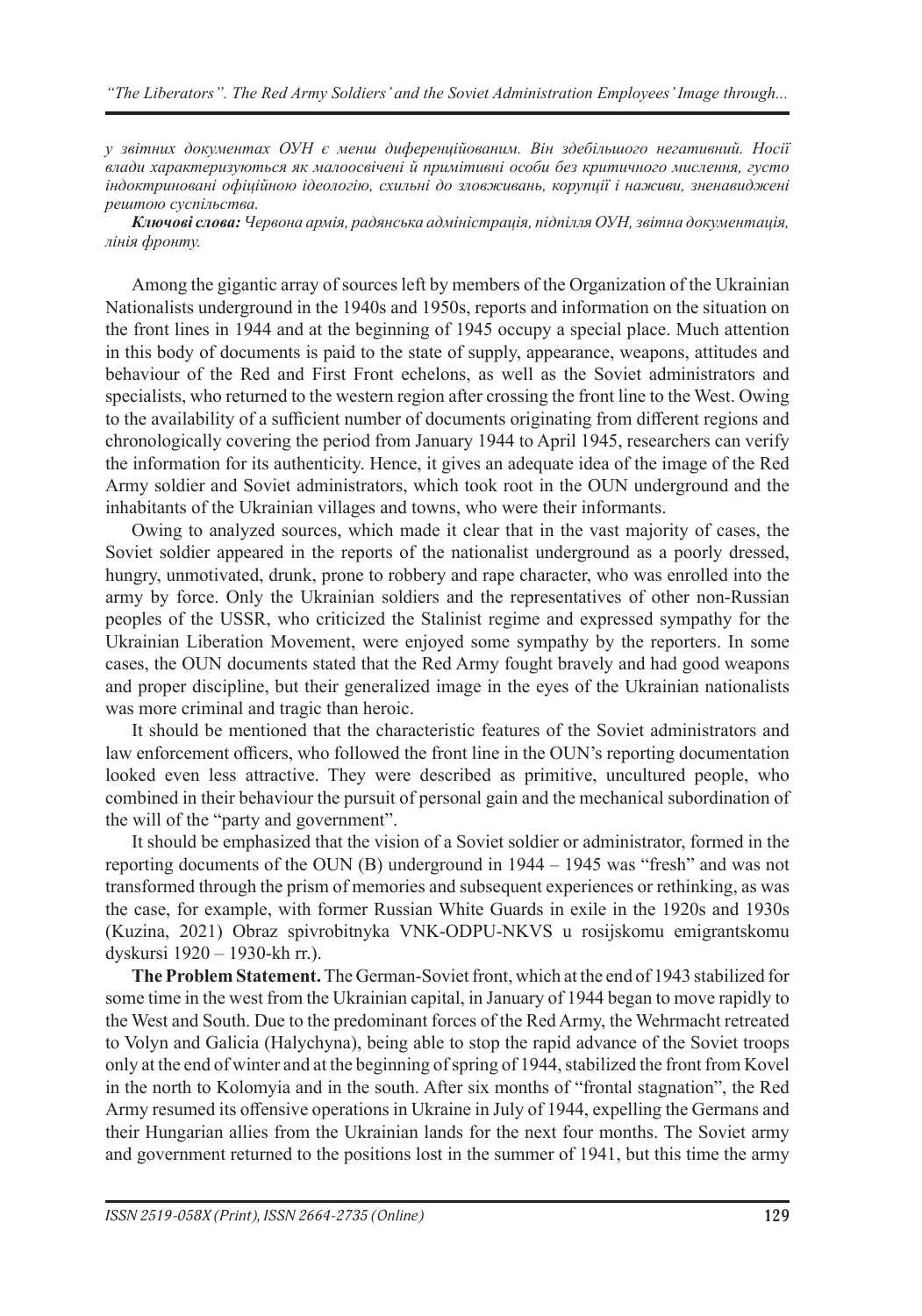*у звітних документах ОУН є менш диференційованим. Він здебільшого негативний. Носії влади характеризуються як малоосвічені й примітивні особи без критичного мислення, густо індоктриновані офіційною ідеологію, схильні до зловживань, корупції і наживи, зненавиджені рештою суспільства.* 

*Ключові слова: Червона армія, радянська адміністрація, підпілля ОУН, звітна документація, лінія фронту.*

Among the gigantic array of sources left by members of the Organization of the Ukrainian Nationalists underground in the 1940s and 1950s, reports and information on the situation on the front lines in 1944 and at the beginning of 1945 occupy a special place. Much attention in this body of documents is paid to the state of supply, appearance, weapons, attitudes and behaviour of the Red and First Front echelons, as well as the Soviet administrators and specialists, who returned to the western region after crossing the front line to the West. Owing to the availability of a sufficient number of documents originating from different regions and chronologically covering the period from January 1944 to April 1945, researchers can verify the information for its authenticity. Hence, it gives an adequate idea of the image of the Red Army soldier and Soviet administrators, which took root in the OUN underground and the inhabitants of the Ukrainian villages and towns, who were their informants.

Owing to analyzed sources, which made it clear that in the vast majority of cases, the Soviet soldier appeared in the reports of the nationalist underground as a poorly dressed, hungry, unmotivated, drunk, prone to robbery and rape character, who was enrolled into the army by force. Only the Ukrainian soldiers and the representatives of other non-Russian peoples of the USSR, who criticized the Stalinist regime and expressed sympathy for the Ukrainian Liberation Movement, were enjoyed some sympathy by the reporters. In some cases, the OUN documents stated that the Red Army fought bravely and had good weapons and proper discipline, but their generalized image in the eyes of the Ukrainian nationalists was more criminal and tragic than heroic.

It should be mentioned that the characteristic features of the Soviet administrators and law enforcement officers, who followed the front line in the OUN's reporting documentation looked even less attractive. They were described as primitive, uncultured people, who combined in their behaviour the pursuit of personal gain and the mechanical subordination of the will of the "party and government".

It should be emphasized that the vision of a Soviet soldier or administrator, formed in the reporting documents of the OUN (B) underground in 1944 – 1945 was "fresh" and was not transformed through the prism of memories and subsequent experiences or rethinking, as was the case, for example, with former Russian White Guards in exile in the 1920s and 1930s (Kuzina, 2021) Obraz spivrobitnyka VNK-ODPU-NKVS u rosijskomu emigrantskomu dyskursi 1920 ‒ 1930-kh rr.).

**The Problem Statement.** The German-Soviet front, which at the end of 1943 stabilized for some time in the west from the Ukrainian capital, in January of 1944 began to move rapidly to the West and South. Due to the predominant forces of the Red Army, the Wehrmacht retreated to Volyn and Galicia (Halychyna), being able to stop the rapid advance of the Soviet troops only at the end of winter and at the beginning of spring of 1944, stabilized the front from Kovel in the north to Kolomyia and in the south. After six months of "frontal stagnation", the Red Army resumed its offensive operations in Ukraine in July of 1944, expelling the Germans and their Hungarian allies from the Ukrainian lands for the next four months. The Soviet army and government returned to the positions lost in the summer of 1941, but this time the army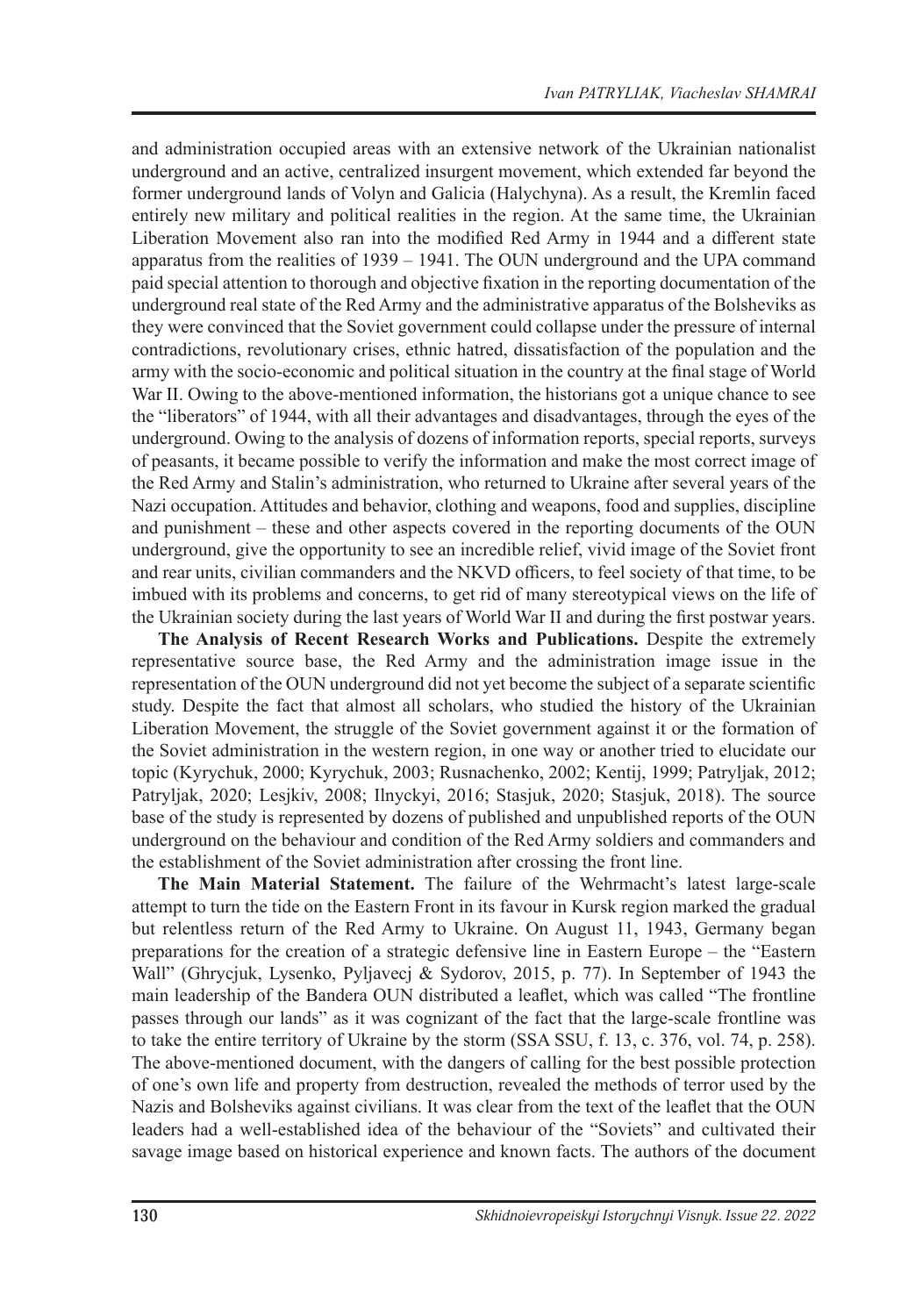and administration occupied areas with an extensive network of the Ukrainian nationalist underground and an active, centralized insurgent movement, which extended far beyond the former underground lands of Volyn and Galicia (Halychyna). As a result, the Kremlin faced entirely new military and political realities in the region. At the same time, the Ukrainian Liberation Movement also ran into the modified Red Army in 1944 and a different state apparatus from the realities of 1939 – 1941. The OUN underground and the UPA command paid special attention to thorough and objective fixation in the reporting documentation of the underground real state of the Red Army and the administrative apparatus of the Bolsheviks as they were convinced that the Soviet government could collapse under the pressure of internal contradictions, revolutionary crises, ethnic hatred, dissatisfaction of the population and the army with the socio-economic and political situation in the country at the final stage of World War II. Owing to the above-mentioned information, the historians got a unique chance to see the "liberators" of 1944, with all their advantages and disadvantages, through the eyes of the underground. Owing to the analysis of dozens of information reports, special reports, surveys of peasants, it became possible to verify the information and make the most correct image of the Red Army and Stalin's administration, who returned to Ukraine after several years of the Nazi occupation. Attitudes and behavior, clothing and weapons, food and supplies, discipline and punishment – these and other aspects covered in the reporting documents of the OUN underground, give the opportunity to see an incredible relief, vivid image of the Soviet front and rear units, civilian commanders and the NKVD officers, to feel society of that time, to be imbued with its problems and concerns, to get rid of many stereotypical views on the life of the Ukrainian society during the last years of World War II and during the first postwar years.

**The Analysis of Recent Research Works and Publications.** Despite the extremely representative source base, the Red Army and the administration image issue in the representation of the OUN underground did not yet become the subject of a separate scientific study. Despite the fact that almost all scholars, who studied the history of the Ukrainian Liberation Movement, the struggle of the Soviet government against it or the formation of the Soviet administration in the western region, in one way or another tried to elucidate our topic (Kyrychuk, 2000; Kyrychuk, 2003; Rusnachenko, 2002; Kentij, 1999; Patryljak, 2012; Patryljak, 2020; Lesjkiv, 2008; Ilnyckyi, 2016; Stasjuk, 2020; Stasjuk, 2018). The source base of the study is represented by dozens of published and unpublished reports of the OUN underground on the behaviour and condition of the Red Army soldiers and commanders and the establishment of the Soviet administration after crossing the front line.

**The Main Material Statement.** The failure of the Wehrmacht's latest large-scale attempt to turn the tide on the Eastern Front in its favour in Kursk region marked the gradual but relentless return of the Red Army to Ukraine. On August 11, 1943, Germany began preparations for the creation of a strategic defensive line in Eastern Europe – the "Eastern Wall" (Ghrycjuk, Lysenko, Pyljavecj & Sydorov, 2015, p. 77). In September of 1943 the main leadership of the Bandera OUN distributed a leaflet, which was called "The frontline passes through our lands" as it was cognizant of the fact that the large-scale frontline was to take the entire territory of Ukraine by the storm (SSA SSU, f. 13, c. 376, vol. 74, p. 258). The above-mentioned document, with the dangers of calling for the best possible protection of one's own life and property from destruction, revealed the methods of terror used by the Nazis and Bolsheviks against civilians. It was clear from the text of the leaflet that the OUN leaders had a well-established idea of the behaviour of the "Soviets" and cultivated their savage image based on historical experience and known facts. The authors of the document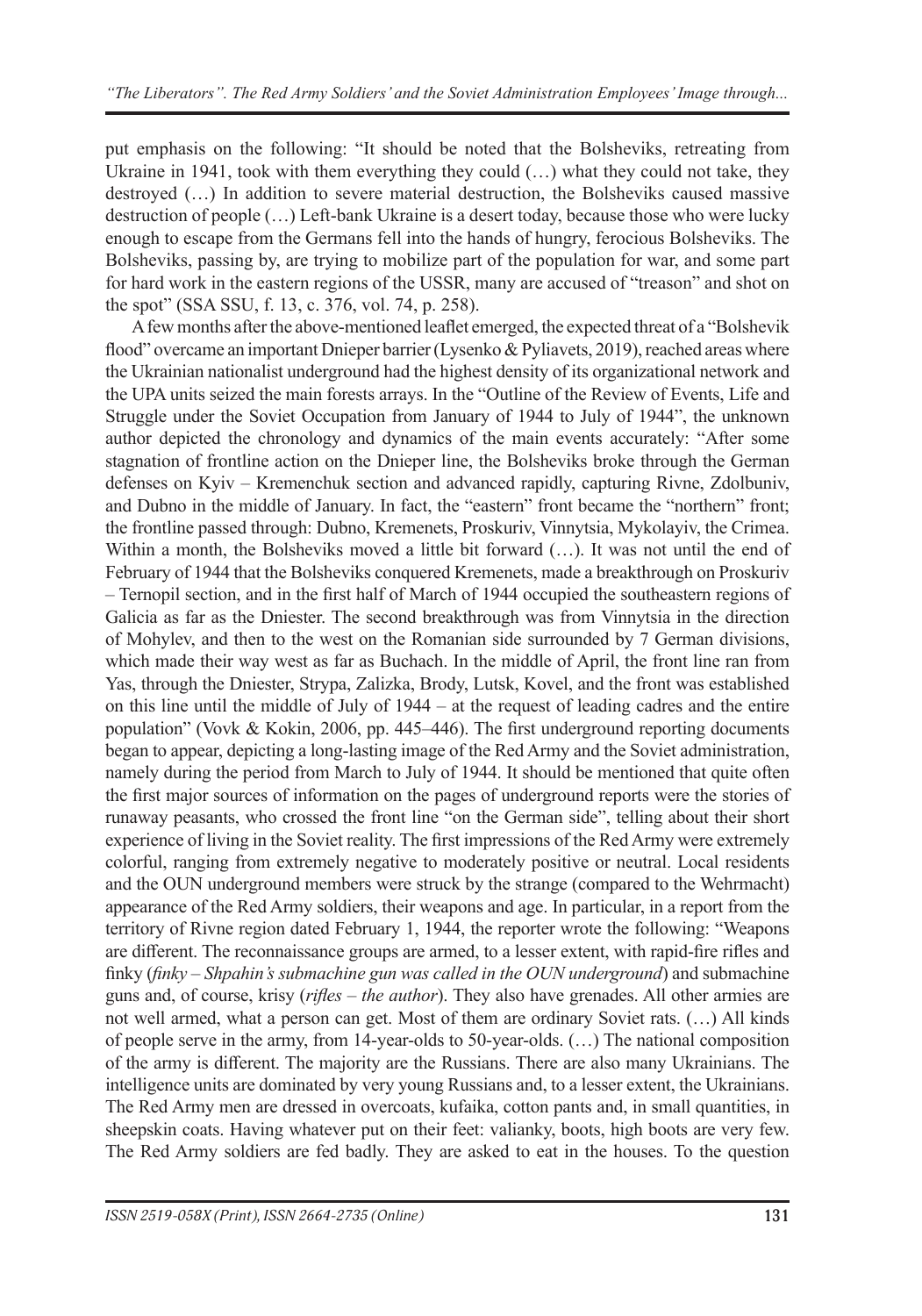put emphasis on the following: "It should be noted that the Bolsheviks, retreating from Ukraine in 1941, took with them everything they could (…) what they could not take, they destroyed (…) In addition to severe material destruction, the Bolsheviks caused massive destruction of people (…) Left-bank Ukraine is a desert today, because those who were lucky enough to escape from the Germans fell into the hands of hungry, ferocious Bolsheviks. The Bolsheviks, passing by, are trying to mobilize part of the population for war, and some part for hard work in the eastern regions of the USSR, many are accused of "treason" and shot on the spot" (SSA SSU, f. 13, c. 376, vol. 74, p. 258).

A few months after the above-mentioned leaflet emerged, the expected threat of a "Bolshevik flood" overcame an important Dnieper barrier (Lysenko & Pyliavets, 2019), reached areas where the Ukrainian nationalist underground had the highest density of its organizational network and the UPA units seized the main forests arrays. In the "Outline of the Review of Events, Life and Struggle under the Soviet Occupation from January of 1944 to July of 1944", the unknown author depicted the chronology and dynamics of the main events accurately: "After some stagnation of frontline action on the Dnieper line, the Bolsheviks broke through the German defenses on Kyiv – Kremenchuk section and advanced rapidly, capturing Rivne, Zdolbuniv, and Dubno in the middle of January. In fact, the "eastern" front became the "northern" front; the frontline passed through: Dubno, Kremenets, Proskuriv, Vinnytsia, Mykolayiv, the Crimea. Within a month, the Bolsheviks moved a little bit forward (...). It was not until the end of February of 1944 that the Bolsheviks conquered Kremenets, made a breakthrough on Proskuriv – Ternopil section, and in the first half of March of 1944 occupied the southeastern regions of Galicia as far as the Dniester. The second breakthrough was from Vinnytsia in the direction of Mohylev, and then to the west on the Romanian side surrounded by 7 German divisions, which made their way west as far as Buchach. In the middle of April, the front line ran from Yas, through the Dniester, Strypa, Zalizka, Brody, Lutsk, Kovel, and the front was established on this line until the middle of July of 1944 – at the request of leading cadres and the entire population" (Vovk & Kokin, 2006, pp. 445–446). The first underground reporting documents began to appear, depicting a long-lasting image of the Red Army and the Soviet administration, namely during the period from March to July of 1944. It should be mentioned that quite often the first major sources of information on the pages of underground reports were the stories of runaway peasants, who crossed the front line "on the German side", telling about their short experience of living in the Soviet reality. The first impressions of the Red Army were extremely colorful, ranging from extremely negative to moderately positive or neutral. Local residents and the OUN underground members were struck by the strange (compared to the Wehrmacht) appearance of the Red Army soldiers, their weapons and age. In particular, in a report from the territory of Rivne region dated February 1, 1944, the reporter wrote the following: "Weapons are different. The reconnaissance groups are armed, to a lesser extent, with rapid-fire rifles and finky (*finky – Shpahin's submachine gun was called in the OUN underground*) and submachine guns and, of course, krisy (*rifles – the author*). They also have grenades. All other armies are not well armed, what a person can get. Most of them are ordinary Soviet rats. (…) All kinds of people serve in the army, from 14-year-olds to 50-year-olds. (…) The national composition of the army is different. The majority are the Russians. There are also many Ukrainians. The intelligence units are dominated by very young Russians and, to a lesser extent, the Ukrainians. The Red Army men are dressed in overcoats, kufaika, cotton pants and, in small quantities, in sheepskin coats. Having whatever put on their feet: valianky, boots, high boots are very few. The Red Army soldiers are fed badly. They are asked to eat in the houses. To the question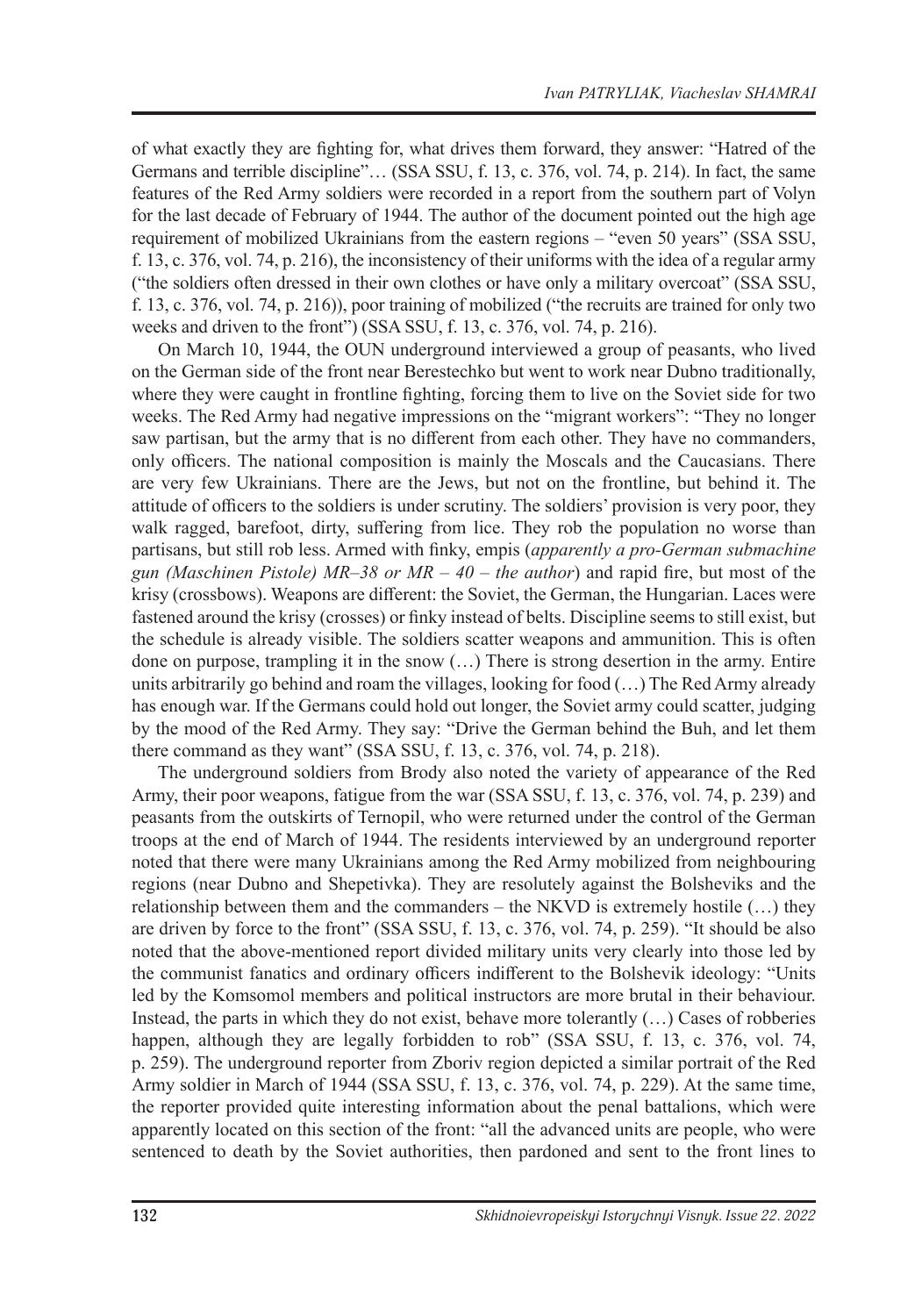of what exactly they are fighting for, what drives them forward, they answer: "Hatred of the Germans and terrible discipline"… (SSA SSU, f. 13, c. 376, vol. 74, p. 214). In fact, the same features of the Red Army soldiers were recorded in a report from the southern part of Volyn for the last decade of February of 1944. The author of the document pointed out the high age requirement of mobilized Ukrainians from the eastern regions – "even 50 years" (SSA SSU, f. 13, c. 376, vol. 74, p. 216), the inconsistency of their uniforms with the idea of a regular army ("the soldiers often dressed in their own clothes or have only a military overcoat" (SSA SSU, f. 13, c. 376, vol. 74, p. 216)), poor training of mobilized ("the recruits are trained for only two weeks and driven to the front") (SSA SSU, f. 13, c. 376, vol. 74, p. 216).

On March 10, 1944, the OUN underground interviewed a group of peasants, who lived on the German side of the front near Berestechko but went to work near Dubno traditionally, where they were caught in frontline fighting, forcing them to live on the Soviet side for two weeks. The Red Army had negative impressions on the "migrant workers": "They no longer saw partisan, but the army that is no different from each other. They have no commanders, only officers. The national composition is mainly the Moscals and the Caucasians. There are very few Ukrainians. There are the Jews, but not on the frontline, but behind it. The attitude of officers to the soldiers is under scrutiny. The soldiers' provision is very poor, they walk ragged, barefoot, dirty, suffering from lice. They rob the population no worse than partisans, but still rob less. Armed with finky, empis (*apparently a pro-German submachine gun (Maschinen Pistole) MR–38 or MR – 40 – the author*) and rapid fire, but most of the krisy (crossbows). Weapons are different: the Soviet, the German, the Hungarian. Laces were fastened around the krisy (crosses) or finky instead of belts. Discipline seems to still exist, but the schedule is already visible. The soldiers scatter weapons and ammunition. This is often done on purpose, trampling it in the snow (…) There is strong desertion in the army. Entire units arbitrarily go behind and roam the villages, looking for food (…) The Red Army already has enough war. If the Germans could hold out longer, the Soviet army could scatter, judging by the mood of the Red Army. They say: "Drive the German behind the Buh, and let them there command as they want" (SSA SSU, f. 13, c. 376, vol. 74, p. 218).

The underground soldiers from Brody also noted the variety of appearance of the Red Army, their poor weapons, fatigue from the war (SSA SSU, f. 13, c. 376, vol. 74, p. 239) and peasants from the outskirts of Ternopil, who were returned under the control of the German troops at the end of March of 1944. The residents interviewed by an underground reporter noted that there were many Ukrainians among the Red Army mobilized from neighbouring regions (near Dubno and Shepetivka). They are resolutely against the Bolsheviks and the relationship between them and the commanders – the NKVD is extremely hostile  $(...)$  they are driven by force to the front" (SSA SSU, f. 13, c. 376, vol. 74, p. 259). "It should be also noted that the above-mentioned report divided military units very clearly into those led by the communist fanatics and ordinary officers indifferent to the Bolshevik ideology: "Units led by the Komsomol members and political instructors are more brutal in their behaviour. Instead, the parts in which they do not exist, behave more tolerantly (…) Cases of robberies happen, although they are legally forbidden to rob" (SSA SSU, f. 13, c. 376, vol. 74, p. 259). The underground reporter from Zboriv region depicted a similar portrait of the Red Army soldier in March of 1944 (SSA SSU, f. 13, c. 376, vol. 74, p. 229). At the same time, the reporter provided quite interesting information about the penal battalions, which were apparently located on this section of the front: "all the advanced units are people, who were sentenced to death by the Soviet authorities, then pardoned and sent to the front lines to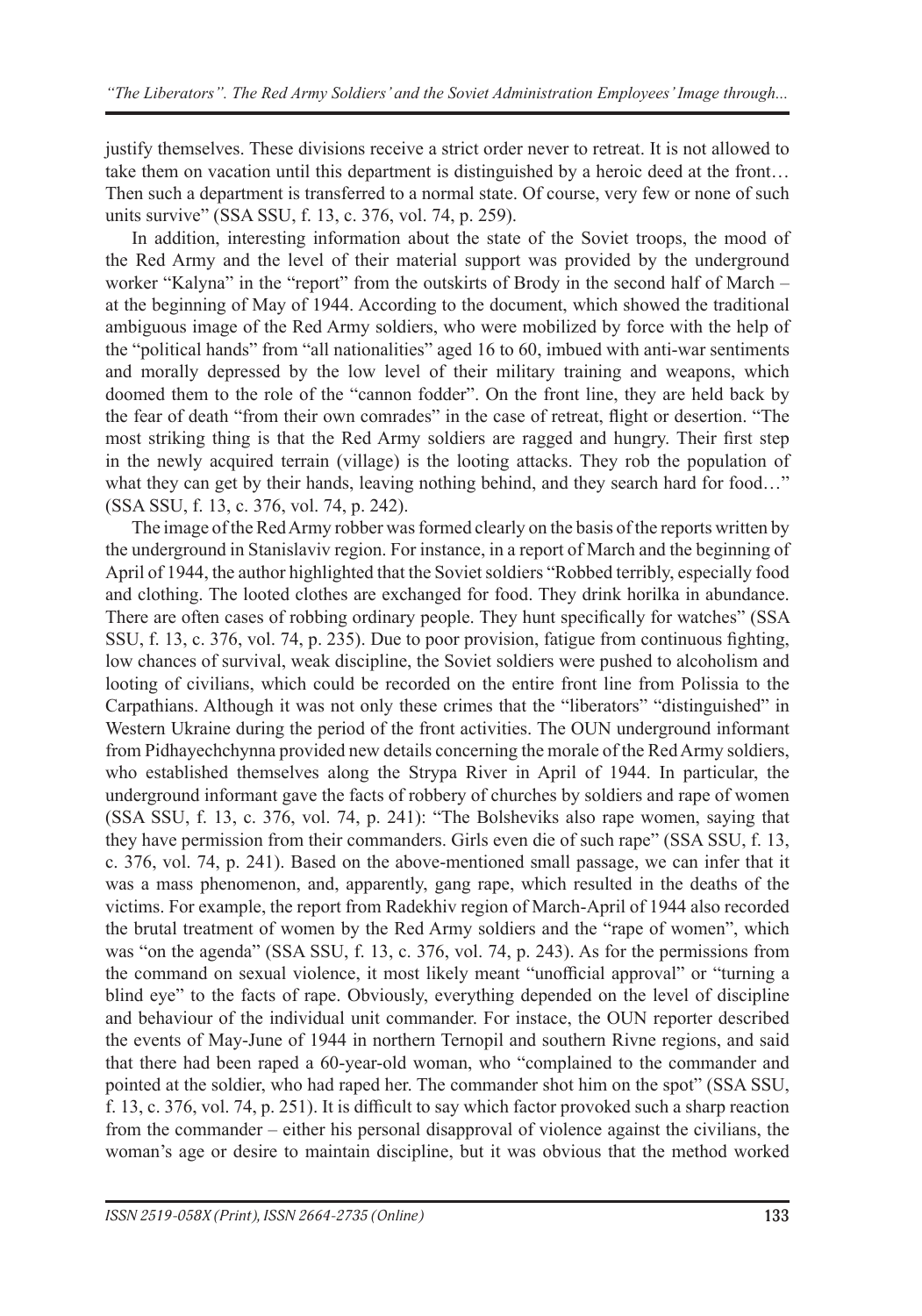justify themselves. These divisions receive a strict order never to retreat. It is not allowed to take them on vacation until this department is distinguished by a heroic deed at the front… Then such a department is transferred to a normal state. Of course, very few or none of such units survive" (SSA SSU, f. 13, c. 376, vol. 74, p. 259).

In addition, interesting information about the state of the Soviet troops, the mood of the Red Army and the level of their material support was provided by the underground worker "Kalyna" in the "report" from the outskirts of Brody in the second half of March – at the beginning of May of 1944. According to the document, which showed the traditional ambiguous image of the Red Army soldiers, who were mobilized by force with the help of the "political hands" from "all nationalities" aged 16 to 60, imbued with anti-war sentiments and morally depressed by the low level of their military training and weapons, which doomed them to the role of the "cannon fodder". On the front line, they are held back by the fear of death "from their own comrades" in the case of retreat, flight or desertion. "The most striking thing is that the Red Army soldiers are ragged and hungry. Their first step in the newly acquired terrain (village) is the looting attacks. They rob the population of what they can get by their hands, leaving nothing behind, and they search hard for food..." (SSA SSU, f. 13, c. 376, vol. 74, p. 242).

The image of the Red Army robber was formed clearly on the basis of the reports written by the underground in Stanislaviv region. For instance, in a report of March and the beginning of April of 1944, the author highlighted that the Soviet soldiers "Robbed terribly, especially food and clothing. The looted clothes are exchanged for food. They drink horilka in abundance. There are often cases of robbing ordinary people. They hunt specifically for watches" (SSA SSU, f. 13, c. 376, vol. 74, p. 235). Due to poor provision, fatigue from continuous fighting, low chances of survival, weak discipline, the Soviet soldiers were pushed to alcoholism and looting of civilians, which could be recorded on the entire front line from Polissia to the Carpathians. Although it was not only these crimes that the "liberators" "distinguished" in Western Ukraine during the period of the front activities. The OUN underground informant from Pidhayechchynna provided new details concerning the morale of the Red Army soldiers, who established themselves along the Strypa River in April of 1944. In particular, the underground informant gave the facts of robbery of churches by soldiers and rape of women (SSA SSU, f. 13, c. 376, vol. 74, p. 241): "The Bolsheviks also rape women, saying that they have permission from their commanders. Girls even die of such rape" (SSA SSU, f. 13, c. 376, vol. 74, p. 241). Based on the above-mentioned small passage, we can infer that it was a mass phenomenon, and, apparently, gang rape, which resulted in the deaths of the victims. For example, the report from Radekhiv region of March-April of 1944 also recorded the brutal treatment of women by the Red Army soldiers and the "rape of women", which was "on the agenda" (SSA SSU, f. 13, c. 376, vol. 74, p. 243). As for the permissions from the command on sexual violence, it most likely meant "unofficial approval" or "turning a blind eye" to the facts of rape. Obviously, everything depended on the level of discipline and behaviour of the individual unit commander. For instace, the OUN reporter described the events of May-June of 1944 in northern Ternopil and southern Rivne regions, and said that there had been raped a 60-year-old woman, who "complained to the commander and pointed at the soldier, who had raped her. The commander shot him on the spot" (SSA SSU, f. 13, c. 376, vol. 74, p. 251). It is difficult to say which factor provoked such a sharp reaction from the commander – either his personal disapproval of violence against the civilians, the woman's age or desire to maintain discipline, but it was obvious that the method worked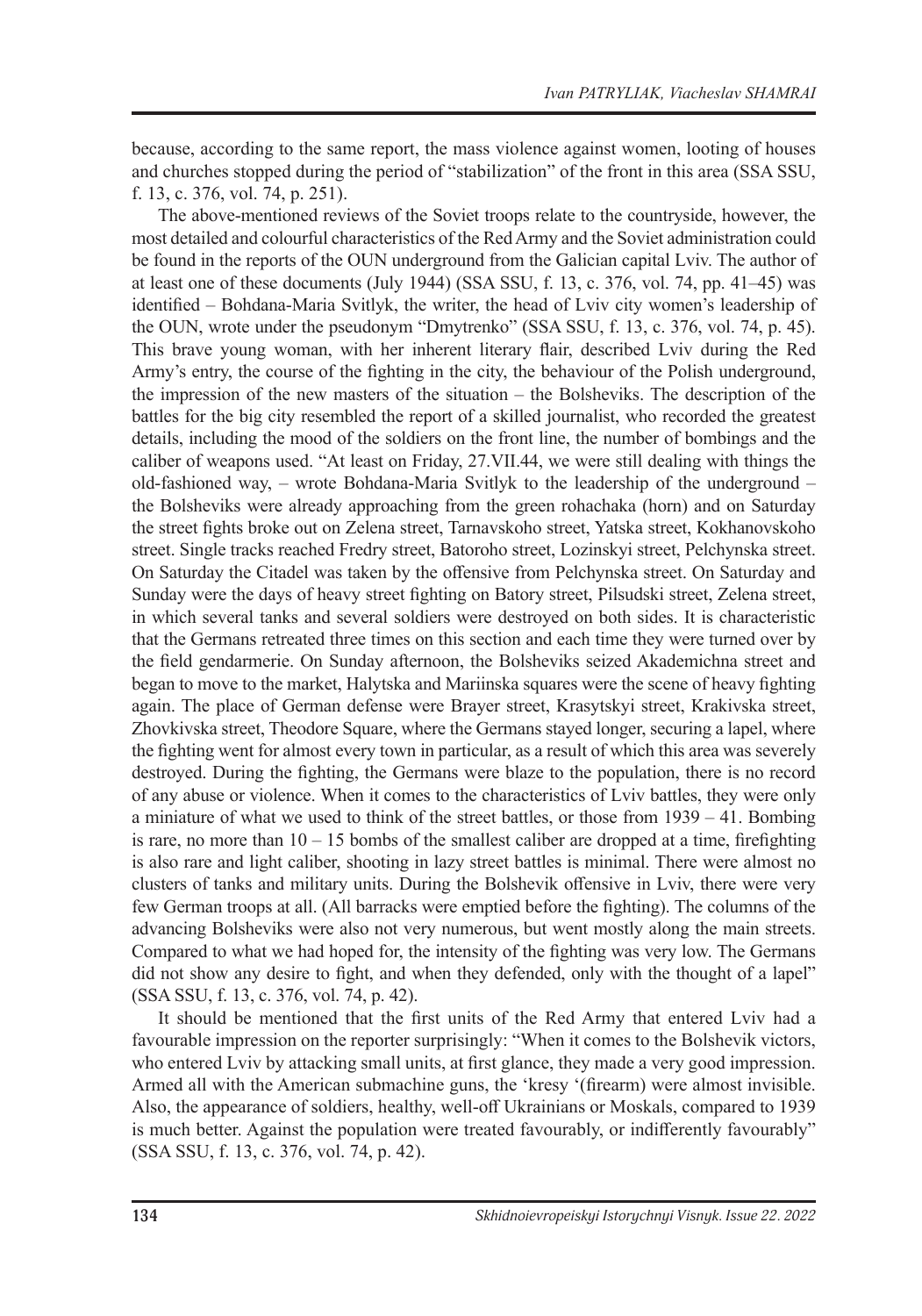because, according to the same report, the mass violence against women, looting of houses and churches stopped during the period of "stabilization" of the front in this area (SSA SSU, f. 13, c. 376, vol. 74, p. 251).

The above-mentioned reviews of the Soviet troops relate to the countryside, however, the most detailed and colourful characteristics of the Red Army and the Soviet administration could be found in the reports of the OUN underground from the Galician capital Lviv. The author of at least one of these documents (July 1944) (SSA SSU, f. 13, c. 376, vol. 74, pp. 41–45) was identified – Bohdana-Maria Svitlyk, the writer, the head of Lviv city women's leadership of the OUN, wrote under the pseudonym "Dmytrenko" (SSA SSU, f. 13, c. 376, vol. 74, p. 45). This brave young woman, with her inherent literary flair, described Lviv during the Red Army's entry, the course of the fighting in the city, the behaviour of the Polish underground, the impression of the new masters of the situation – the Bolsheviks. The description of the battles for the big city resembled the report of a skilled journalist, who recorded the greatest details, including the mood of the soldiers on the front line, the number of bombings and the caliber of weapons used. "At least on Friday, 27.VІІ.44, we were still dealing with things the old-fashioned way, – wrote Bohdana-Maria Svitlyk to the leadership of the underground – the Bolsheviks were already approaching from the green rohachaka (horn) and on Saturday the street fights broke out on Zelena street, Tarnavskoho street, Yatska street, Kokhanovskoho street. Single tracks reached Fredry street, Batoroho street, Lozinskyi street, Pelchynska street. On Saturday the Citadel was taken by the offensive from Pelchynska street. On Saturday and Sunday were the days of heavy street fighting on Batory street, Pilsudski street, Zelena street, in which several tanks and several soldiers were destroyed on both sides. It is characteristic that the Germans retreated three times on this section and each time they were turned over by the field gendarmerie. On Sunday afternoon, the Bolsheviks seized Akademichna street and began to move to the market, Halytska and Mariinska squares were the scene of heavy fighting again. The place of German defense were Brayer street, Krasytskyi street, Krakivska street, Zhovkivska street, Theodore Square, where the Germans stayed longer, securing a lapel, where the fighting went for almost every town in particular, as a result of which this area was severely destroyed. During the fighting, the Germans were blaze to the population, there is no record of any abuse or violence. When it comes to the characteristics of Lviv battles, they were only a miniature of what we used to think of the street battles, or those from 1939 – 41. Bombing is rare, no more than  $10 - 15$  bombs of the smallest caliber are dropped at a time, firefighting is also rare and light caliber, shooting in lazy street battles is minimal. There were almost no clusters of tanks and military units. During the Bolshevik offensive in Lviv, there were very few German troops at all. (All barracks were emptied before the fighting). The columns of the advancing Bolsheviks were also not very numerous, but went mostly along the main streets. Compared to what we had hoped for, the intensity of the fighting was very low. The Germans did not show any desire to fight, and when they defended, only with the thought of a lapel" (SSA SSU, f. 13, c. 376, vol. 74, p. 42).

It should be mentioned that the first units of the Red Army that entered Lviv had a favourable impression on the reporter surprisingly: "When it comes to the Bolshevik victors, who entered Lviv by attacking small units, at first glance, they made a very good impression. Armed all with the American submachine guns, the 'kresy '(firearm) were almost invisible. Also, the appearance of soldiers, healthy, well-off Ukrainians or Moskals, compared to 1939 is much better. Against the population were treated favourably, or indifferently favourably" (SSA SSU, f. 13, c. 376, vol. 74, p. 42).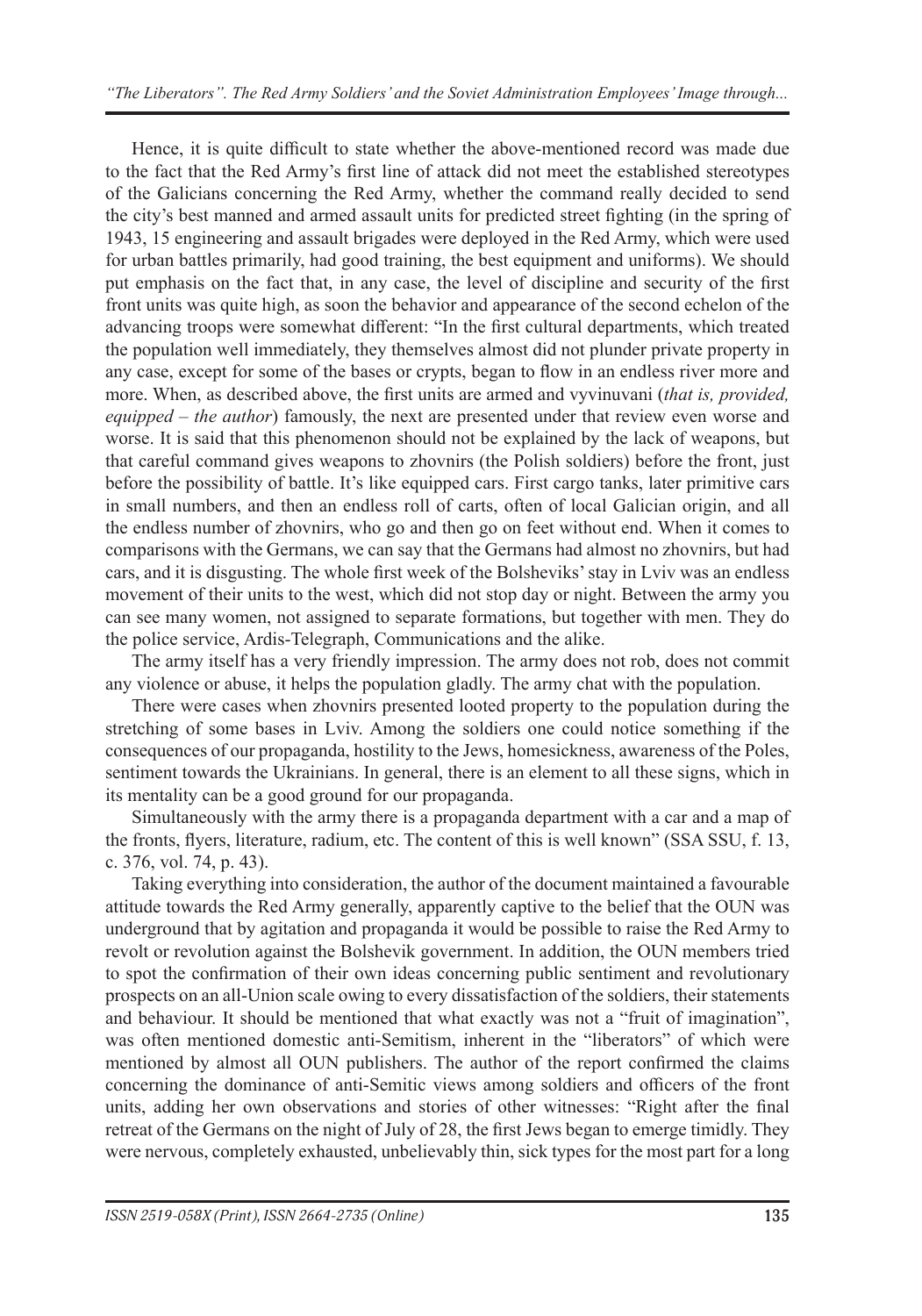Hence, it is quite difficult to state whether the above-mentioned record was made due to the fact that the Red Army's first line of attack did not meet the established stereotypes of the Galicians concerning the Red Army, whether the command really decided to send the city's best manned and armed assault units for predicted street fighting (in the spring of 1943, 15 engineering and assault brigades were deployed in the Red Army, which were used for urban battles primarily, had good training, the best equipment and uniforms). We should put emphasis on the fact that, in any case, the level of discipline and security of the first front units was quite high, as soon the behavior and appearance of the second echelon of the advancing troops were somewhat different: "In the first cultural departments, which treated the population well immediately, they themselves almost did not plunder private property in any case, except for some of the bases or crypts, began to flow in an endless river more and more. When, as described above, the first units are armed and vyvinuvani (*that is, provided, equipped – the author*) famously, the next are presented under that review even worse and worse. It is said that this phenomenon should not be explained by the lack of weapons, but that careful command gives weapons to zhovnirs (the Polish soldiers) before the front, just before the possibility of battle. It's like equipped cars. First cargo tanks, later primitive cars in small numbers, and then an endless roll of carts, often of local Galician origin, and all the endless number of zhovnirs, who go and then go on feet without end. When it comes to comparisons with the Germans, we can say that the Germans had almost no zhovnirs, but had cars, and it is disgusting. The whole first week of the Bolsheviks' stay in Lviv was an endless movement of their units to the west, which did not stop day or night. Between the army you can see many women, not assigned to separate formations, but together with men. They do the police service, Ardis-Telegraph, Communications and the alike.

The army itself has a very friendly impression. The army does not rob, does not commit any violence or abuse, it helps the population gladly. The army chat with the population.

There were cases when zhovnirs presented looted property to the population during the stretching of some bases in Lviv. Among the soldiers one could notice something if the consequences of our propaganda, hostility to the Jews, homesickness, awareness of the Poles, sentiment towards the Ukrainians. In general, there is an element to all these signs, which in its mentality can be a good ground for our propaganda.

Simultaneously with the army there is a propaganda department with a car and a map of the fronts, flyers, literature, radium, etc. The content of this is well known" (SSA SSU, f. 13, c. 376, vol. 74, p. 43).

Taking everything into consideration, the author of the document maintained a favourable attitude towards the Red Army generally, apparently captive to the belief that the OUN was underground that by agitation and propaganda it would be possible to raise the Red Army to revolt or revolution against the Bolshevik government. In addition, the OUN members tried to spot the confirmation of their own ideas concerning public sentiment and revolutionary prospects on an all-Union scale owing to every dissatisfaction of the soldiers, their statements and behaviour. It should be mentioned that what exactly was not a "fruit of imagination", was often mentioned domestic anti-Semitism, inherent in the "liberators" of which were mentioned by almost all OUN publishers. The author of the report confirmed the claims concerning the dominance of anti-Semitic views among soldiers and officers of the front units, adding her own observations and stories of other witnesses: "Right after the final retreat of the Germans on the night of July of 28, the first Jews began to emerge timidly. They were nervous, completely exhausted, unbelievably thin, sick types for the most part for a long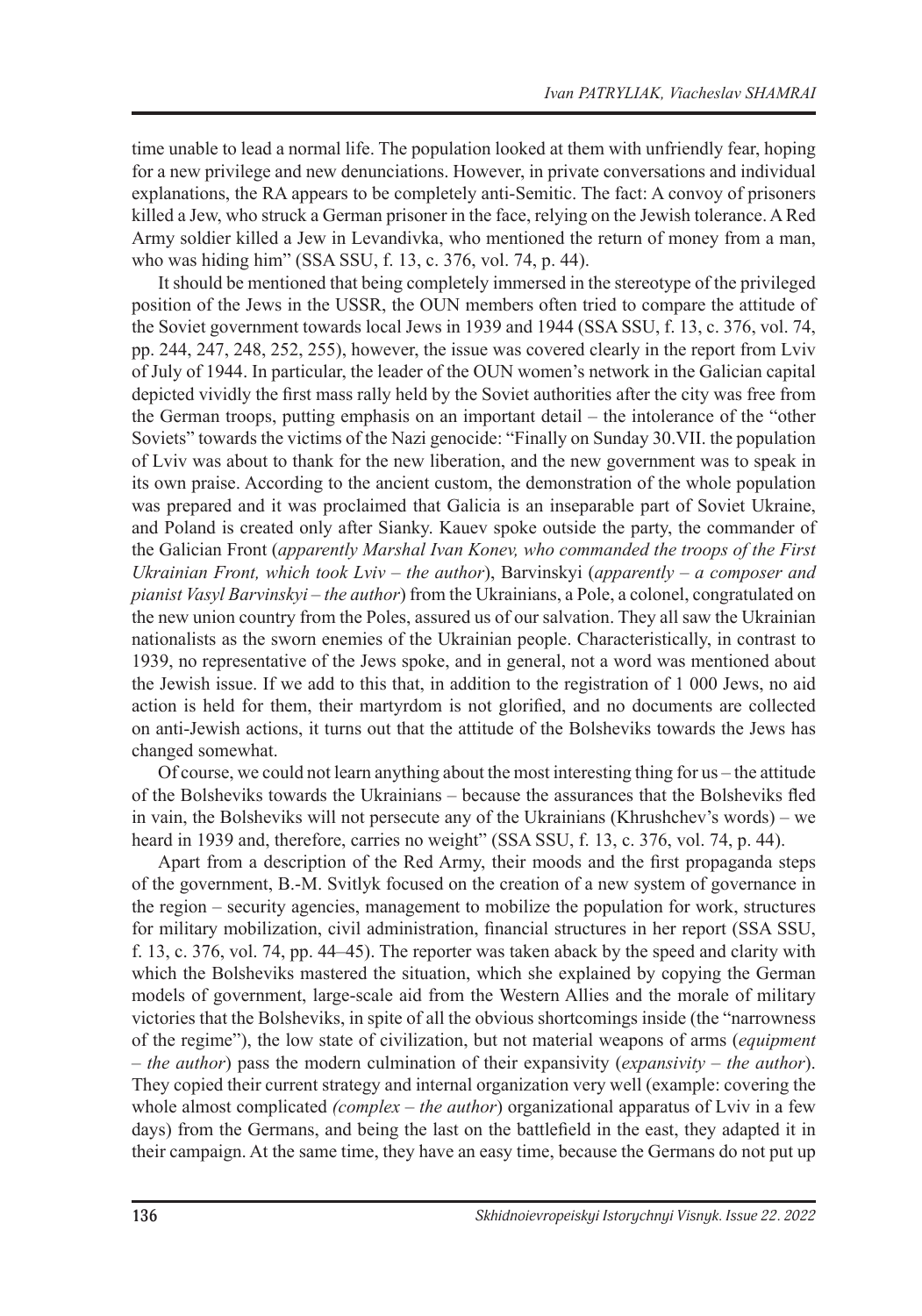time unable to lead a normal life. The population looked at them with unfriendly fear, hoping for a new privilege and new denunciations. However, in private conversations and individual explanations, the RA appears to be completely anti-Semitic. The fact: A convoy of prisoners killed a Jew, who struck a German prisoner in the face, relying on the Jewish tolerance. A Red Army soldier killed a Jew in Levandivka, who mentioned the return of money from a man, who was hiding him" (SSA SSU, f. 13, c. 376, vol. 74, p. 44).

It should be mentioned that being completely immersed in the stereotype of the privileged position of the Jews in the USSR, the OUN members often tried to compare the attitude of the Soviet government towards local Jews in 1939 and 1944 (SSA SSU, f. 13, c. 376, vol. 74, pp. 244, 247, 248, 252, 255), however, the issue was covered clearly in the report from Lviv of July of 1944. In particular, the leader of the OUN women's network in the Galician capital depicted vividly the first mass rally held by the Soviet authorities after the city was free from the German troops, putting emphasis on an important detail – the intolerance of the "other Soviets" towards the victims of the Nazi genocide: "Finally on Sunday 30.VІІ. the population of Lviv was about to thank for the new liberation, and the new government was to speak in its own praise. According to the ancient custom, the demonstration of the whole population was prepared and it was proclaimed that Galicia is an inseparable part of Soviet Ukraine, and Poland is created only after Sianky. Kauev spoke outside the party, the commander of the Galician Front (*apparently Marshal Ivan Konev, who commanded the troops of the First Ukrainian Front, which took Lviv – the author*), Barvinskyi (*apparently – a composer and pianist Vasyl Barvinskyi – the author*) from the Ukrainians, a Pole, a colonel, congratulated on the new union country from the Poles, assured us of our salvation. They all saw the Ukrainian nationalists as the sworn enemies of the Ukrainian people. Characteristically, in contrast to 1939, no representative of the Jews spoke, and in general, not a word was mentioned about the Jewish issue. If we add to this that, in addition to the registration of 1 000 Jews, no aid action is held for them, their martyrdom is not glorified, and no documents are collected on anti-Jewish actions, it turns out that the attitude of the Bolsheviks towards the Jews has changed somewhat.

Of course, we could not learn anything about the most interesting thing for us – the attitude of the Bolsheviks towards the Ukrainians – because the assurances that the Bolsheviks fled in vain, the Bolsheviks will not persecute any of the Ukrainians (Khrushchev's words) – we heard in 1939 and, therefore, carries no weight" (SSA SSU, f. 13, c. 376, vol. 74, p. 44).

Apart from a description of the Red Army, their moods and the first propaganda steps of the government, B.-M. Svitlyk focused on the creation of a new system of governance in the region – security agencies, management to mobilize the population for work, structures for military mobilization, civil administration, financial structures in her report (SSA SSU, f.  $13$ , c.  $376$ , vol.  $74$ , pp.  $44–45$ ). The reporter was taken aback by the speed and clarity with which the Bolsheviks mastered the situation, which she explained by copying the German models of government, large-scale aid from the Western Allies and the morale of military victories that the Bolsheviks, in spite of all the obvious shortcomings inside (the "narrowness of the regime"), the low state of civilization, but not material weapons of arms (*equipment – the author*) pass the modern culmination of their expansivity (*expansivity – the author*). They copied their current strategy and internal organization very well (example: covering the whole almost complicated *(complex – the author)* organizational apparatus of Lviv in a few days) from the Germans, and being the last on the battlefield in the east, they adapted it in their campaign. At the same time, they have an easy time, because the Germans do not put up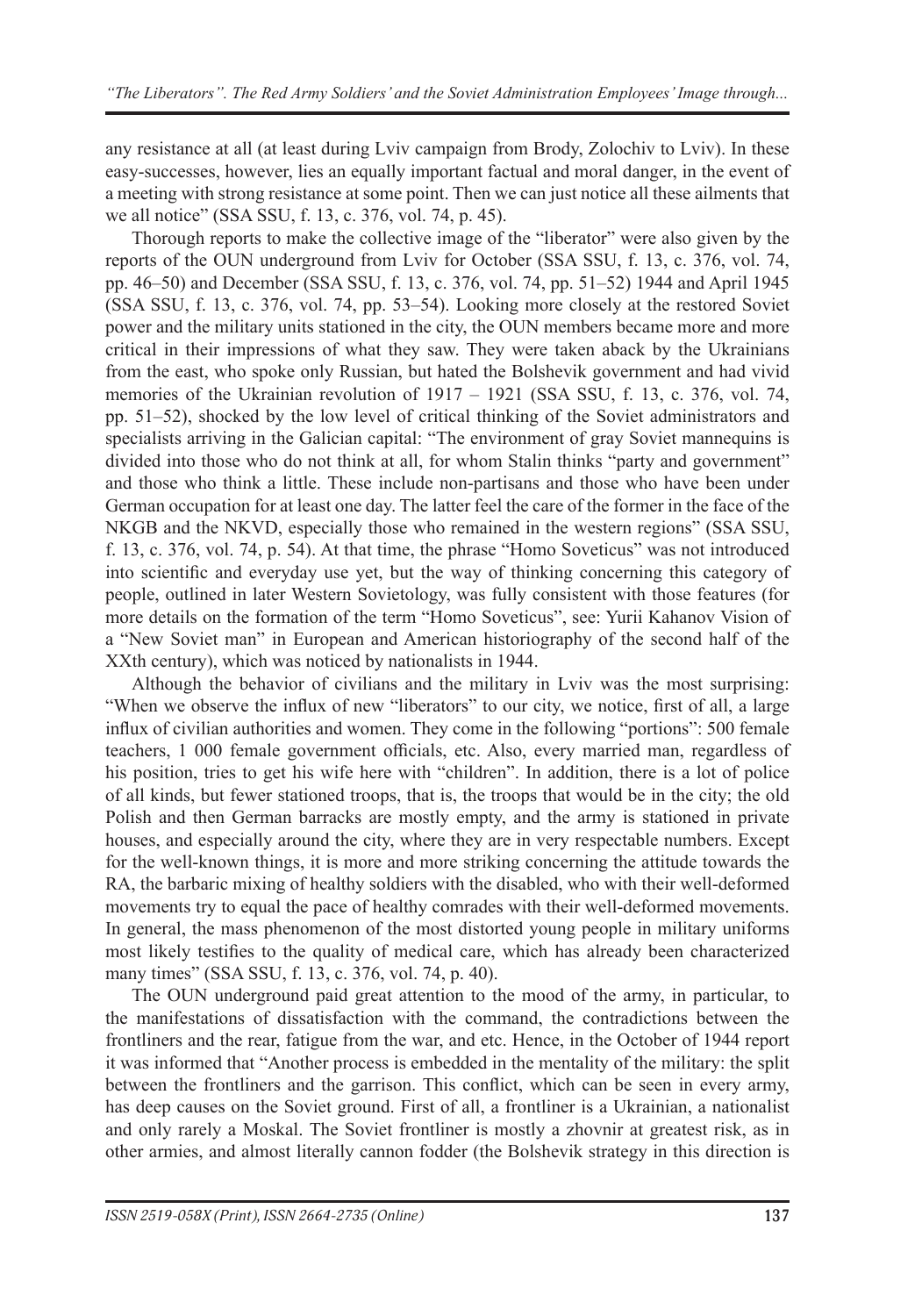any resistance at all (at least during Lviv campaign from Brody, Zolochiv to Lviv). In these easy-successes, however, lies an equally important factual and moral danger, in the event of a meeting with strong resistance at some point. Then we can just notice all these ailments that we all notice" (SSA SSU, f. 13, c. 376, vol. 74, p. 45).

Thorough reports to make the collective image of the "liberator" were also given by the reports of the OUN underground from Lviv for October (SSA SSU, f. 13, c. 376, vol. 74, pp. 46–50) and December (SSA SSU, f. 13, c. 376, vol. 74, pp. 51–52) 1944 and April 1945 (SSA SSU, f. 13, c. 376, vol. 74, pp. 53–54). Looking more closely at the restored Soviet power and the military units stationed in the city, the OUN members became more and more critical in their impressions of what they saw. They were taken aback by the Ukrainians from the east, who spoke only Russian, but hated the Bolshevik government and had vivid memories of the Ukrainian revolution of 1917 – 1921 (SSA SSU, f. 13, c. 376, vol. 74, pp. 51‒52), shocked by the low level of critical thinking of the Soviet administrators and specialists arriving in the Galician capital: "The environment of gray Soviet mannequins is divided into those who do not think at all, for whom Stalin thinks "party and government" and those who think a little. These include non-partisans and those who have been under German occupation for at least one day. The latter feel the care of the former in the face of the NKGB and the NKVD, especially those who remained in the western regions" (SSA SSU, f. 13, c. 376, vol. 74, p. 54). At that time, the phrase "Homo Soveticus" was not introduced into scientific and everyday use yet, but the way of thinking concerning this category of people, outlined in later Western Sovietology, was fully consistent with those features (for more details on the formation of the term "Homo Soveticus", see: Yurii Kahanov Vision of a "New Soviet man" in European and American historiography of the second half of the XXth century), which was noticed by nationalists in 1944.

Although the behavior of civilians and the military in Lviv was the most surprising: "When we observe the influx of new "liberators" to our city, we notice, first of all, a large influx of civilian authorities and women. They come in the following "portions": 500 female teachers, 1 000 female government officials, etc. Also, every married man, regardless of his position, tries to get his wife here with "children". In addition, there is a lot of police of all kinds, but fewer stationed troops, that is, the troops that would be in the city; the old Polish and then German barracks are mostly empty, and the army is stationed in private houses, and especially around the city, where they are in very respectable numbers. Except for the well-known things, it is more and more striking concerning the attitude towards the RA, the barbaric mixing of healthy soldiers with the disabled, who with their well-deformed movements try to equal the pace of healthy comrades with their well-deformed movements. In general, the mass phenomenon of the most distorted young people in military uniforms most likely testifies to the quality of medical care, which has already been characterized many times" (SSA SSU, f. 13, c. 376, vol. 74, p. 40).

The OUN underground paid great attention to the mood of the army, in particular, to the manifestations of dissatisfaction with the command, the contradictions between the frontliners and the rear, fatigue from the war, and etc. Hence, in the October of 1944 report it was informed that "Another process is embedded in the mentality of the military: the split between the frontliners and the garrison. This conflict, which can be seen in every army, has deep causes on the Soviet ground. First of all, a frontliner is a Ukrainian, a nationalist and only rarely a Moskal. The Soviet frontliner is mostly a zhovnir at greatest risk, as in other armies, and almost literally cannon fodder (the Bolshevik strategy in this direction is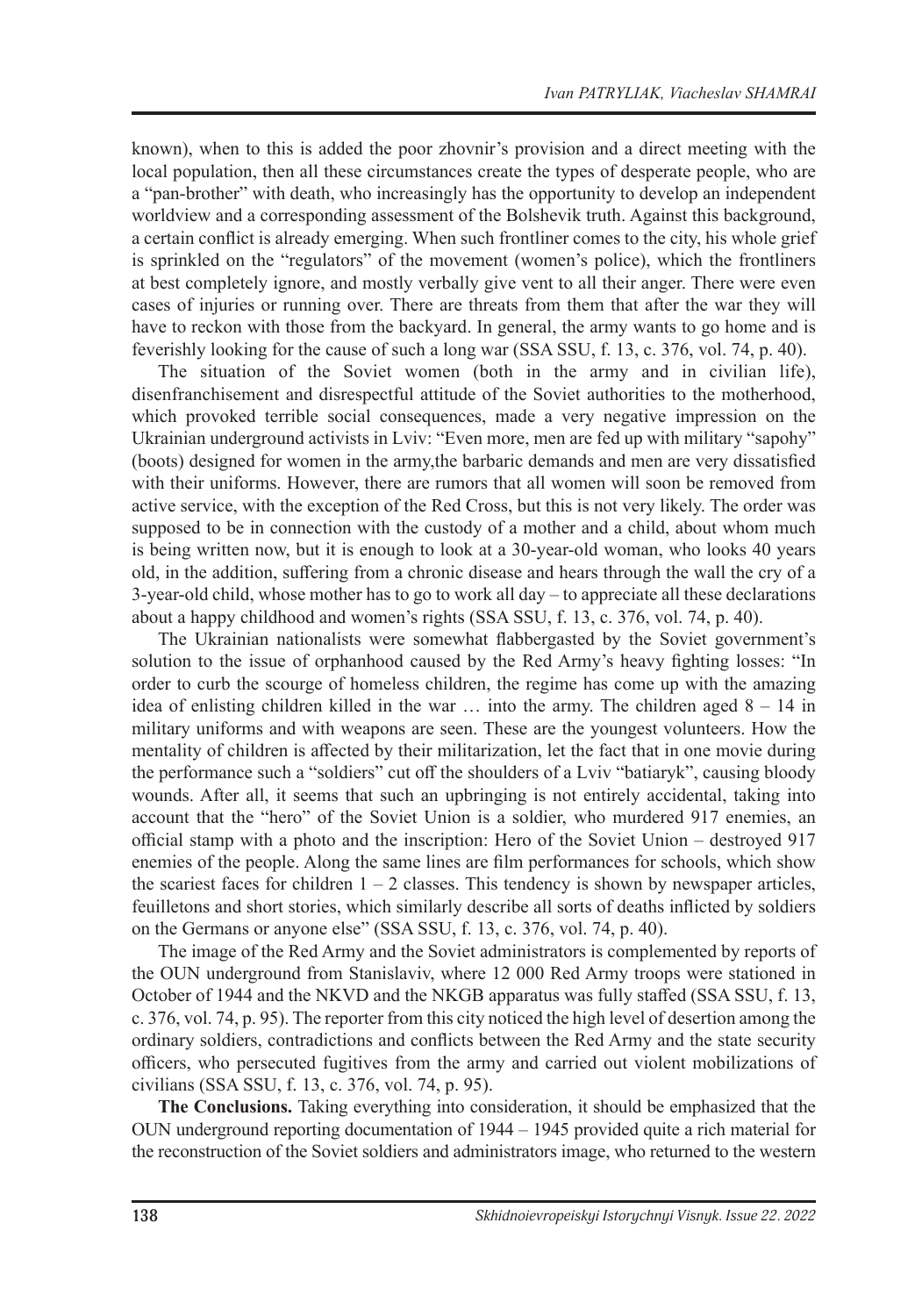known), when to this is added the poor zhovnir's provision and a direct meeting with the local population, then all these circumstances create the types of desperate people, who are a "pan-brother" with death, who increasingly has the opportunity to develop an independent worldview and a corresponding assessment of the Bolshevik truth. Against this background, a certain conflict is already emerging. When such frontliner comes to the city, his whole grief is sprinkled on the "regulators" of the movement (women's police), which the frontliners at best completely ignore, and mostly verbally give vent to all their anger. There were even cases of injuries or running over. There are threats from them that after the war they will have to reckon with those from the backyard. In general, the army wants to go home and is feverishly looking for the cause of such a long war (SSA SSU, f. 13, c. 376, vol. 74, p. 40).

The situation of the Soviet women (both in the army and in civilian life), disenfranchisement and disrespectful attitude of the Soviet authorities to the motherhood, which provoked terrible social consequences, made a very negative impression on the Ukrainian underground activists in Lviv: "Even more, men are fed up with military "sapohy" (boots) designed for women in the army,the barbaric demands and men are very dissatisfied with their uniforms. However, there are rumors that all women will soon be removed from active service, with the exception of the Red Cross, but this is not very likely. The order was supposed to be in connection with the custody of a mother and a child, about whom much is being written now, but it is enough to look at a 30-year-old woman, who looks 40 years old, in the addition, suffering from a chronic disease and hears through the wall the cry of a 3-year-old child, whose mother has to go to work all day – to appreciate all these declarations about a happy childhood and women's rights (SSA SSU, f. 13, c. 376, vol. 74, p. 40).

The Ukrainian nationalists were somewhat flabbergasted by the Soviet government's solution to the issue of orphanhood caused by the Red Army's heavy fighting losses: "In order to curb the scourge of homeless children, the regime has come up with the amazing idea of enlisting children killed in the war  $\ldots$  into the army. The children aged  $8 - 14$  in military uniforms and with weapons are seen. These are the youngest volunteers. How the mentality of children is affected by their militarization, let the fact that in one movie during the performance such a "soldiers" cut off the shoulders of a Lviv "batiaryk", causing bloody wounds. After all, it seems that such an upbringing is not entirely accidental, taking into account that the "hero" of the Soviet Union is a soldier, who murdered 917 enemies, an official stamp with a photo and the inscription: Hero of the Soviet Union – destroyed 917 enemies of the people. Along the same lines are film performances for schools, which show the scariest faces for children  $1 - 2$  classes. This tendency is shown by newspaper articles, feuilletons and short stories, which similarly describe all sorts of deaths inflicted by soldiers on the Germans or anyone else" (SSA SSU, f. 13, c. 376, vol. 74, p. 40).

The image of the Red Army and the Soviet administrators is complemented by reports of the OUN underground from Stanislaviv, where 12 000 Red Army troops were stationed in October of 1944 and the NKVD and the NKGB apparatus was fully staffed (SSA SSU, f. 13, c. 376, vol. 74, p. 95). The reporter from this city noticed the high level of desertion among the ordinary soldiers, contradictions and conflicts between the Red Army and the state security officers, who persecuted fugitives from the army and carried out violent mobilizations of civilians (SSA SSU, f. 13, c. 376, vol. 74, p. 95).

**The Conclusions.** Taking everything into consideration, it should be emphasized that the OUN underground reporting documentation of 1944 – 1945 provided quite a rich material for the reconstruction of the Soviet soldiers and administrators image, who returned to the western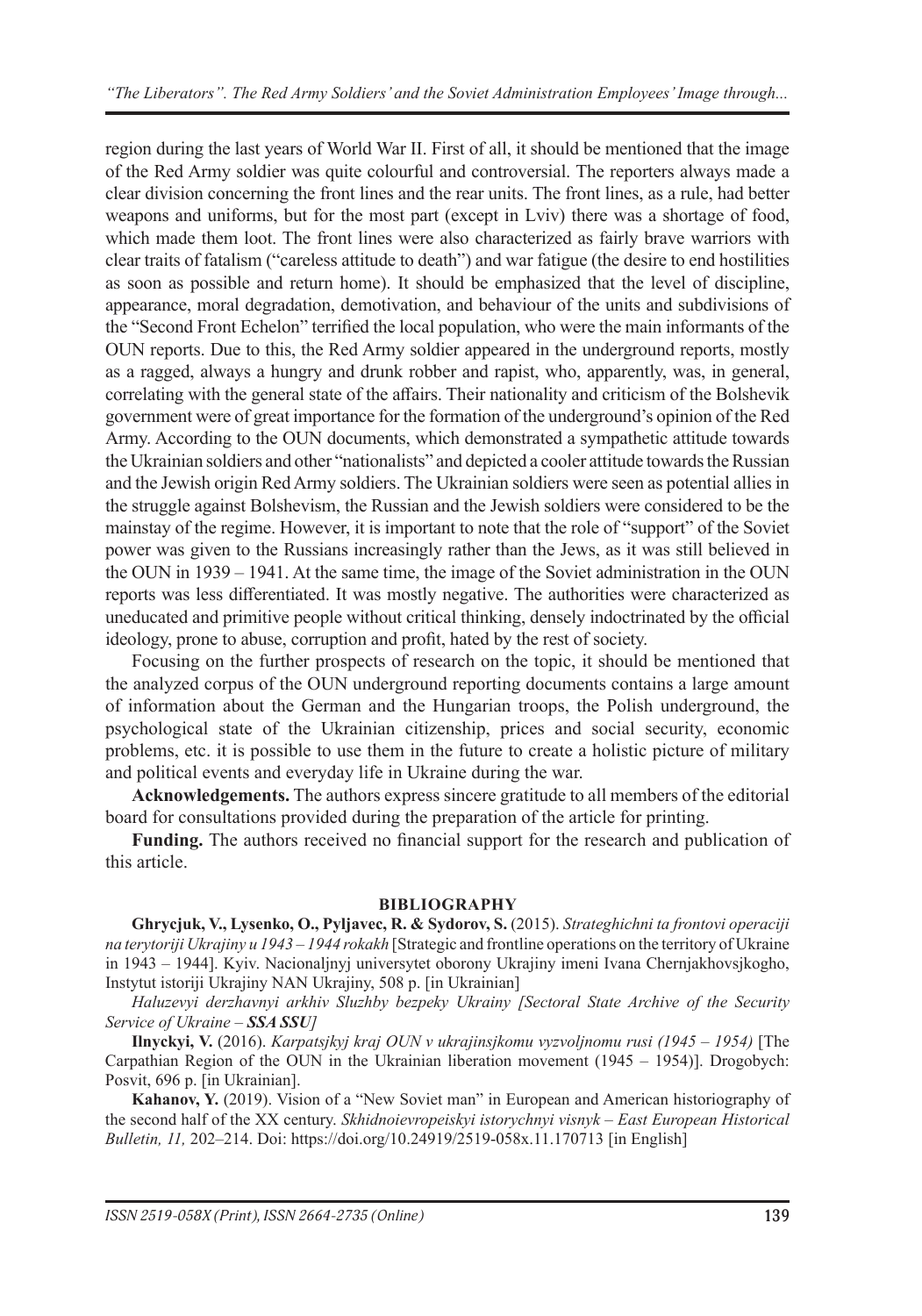region during the last years of World War II. First of all, it should be mentioned that the image of the Red Army soldier was quite colourful and controversial. The reporters always made a clear division concerning the front lines and the rear units. The front lines, as a rule, had better weapons and uniforms, but for the most part (except in Lviv) there was a shortage of food, which made them loot. The front lines were also characterized as fairly brave warriors with clear traits of fatalism ("careless attitude to death") and war fatigue (the desire to end hostilities as soon as possible and return home). It should be emphasized that the level of discipline, appearance, moral degradation, demotivation, and behaviour of the units and subdivisions of the "Second Front Echelon" terrified the local population, who were the main informants of the OUN reports. Due to this, the Red Army soldier appeared in the underground reports, mostly as a ragged, always a hungry and drunk robber and rapist, who, apparently, was, in general, correlating with the general state of the affairs. Their nationality and criticism of the Bolshevik government were of great importance for the formation of the underground's opinion of the Red Army. According to the OUN documents, which demonstrated a sympathetic attitude towards the Ukrainian soldiers and other "nationalists" and depicted a cooler attitude towards the Russian and the Jewish origin Red Army soldiers. The Ukrainian soldiers were seen as potential allies in the struggle against Bolshevism, the Russian and the Jewish soldiers were considered to be the mainstay of the regime. However, it is important to note that the role of "support" of the Soviet power was given to the Russians increasingly rather than the Jews, as it was still believed in the OUN in 1939 – 1941. At the same time, the image of the Soviet administration in the OUN reports was less differentiated. It was mostly negative. The authorities were characterized as uneducated and primitive people without critical thinking, densely indoctrinated by the official ideology, prone to abuse, corruption and profit, hated by the rest of society.

Focusing on the further prospects of research on the topic, it should be mentioned that the analyzed corpus of the OUN underground reporting documents contains a large amount of information about the German and the Hungarian troops, the Polish underground, the psychological state of the Ukrainian citizenship, prices and social security, economic problems, etc. it is possible to use them in the future to create a holistic picture of military and political events and everyday life in Ukraine during the war.

**Acknowledgements.** The authors express sincere gratitude to all members of the editorial board for consultations provided during the preparation of the article for printing.

**Funding.** The authors received no financial support for the research and publication of this article.

#### **BIBLIOGRAPHY**

**Ghrycjuk, V., Lysenko, O., Pyljavec, R. & Sydorov, S.** (2015). *Strateghichni ta frontovi operaciji na terytoriji Ukrajiny u 1943 – 1944 rokakh* [Strategic and frontline operations on the territory of Ukraine in 1943 ‒ 1944]. Kyiv. Nacionaljnyj universytet oborony Ukrajiny imeni Ivana Chernjakhovsjkogho, Instytut istoriji Ukrajiny NAN Ukrajiny, 508 p. [in Ukrainian]

*Haluzevyi derzhavnyi arkhiv Sluzhby bezpeky Ukrainy [Sectoral State Archive of the Security Service of Ukraine ‒ SSA SSU]*

**Ilnyckyi, V.** (2016). *Karpatsjkyj kraj OUN v ukrajinsjkomu vyzvoljnomu rusi (1945 – 1954)* [The Carpathian Region of the OUN in the Ukrainian liberation movement  $(1945 - 1954)$ . Drogobych: Posvit, 696 p. [in Ukrainian].

**Kahanov, Y.** (2019). Vision of a "New Soviet man" in European and American historiography of the second half of the XX century. *Skhidnoievropeiskyi istorychnyi visnyk ‒ East European Historical Bulletin, 11,* 202–214. Doi: https://doi.org/10.24919/2519-058x.11.170713 [in English]